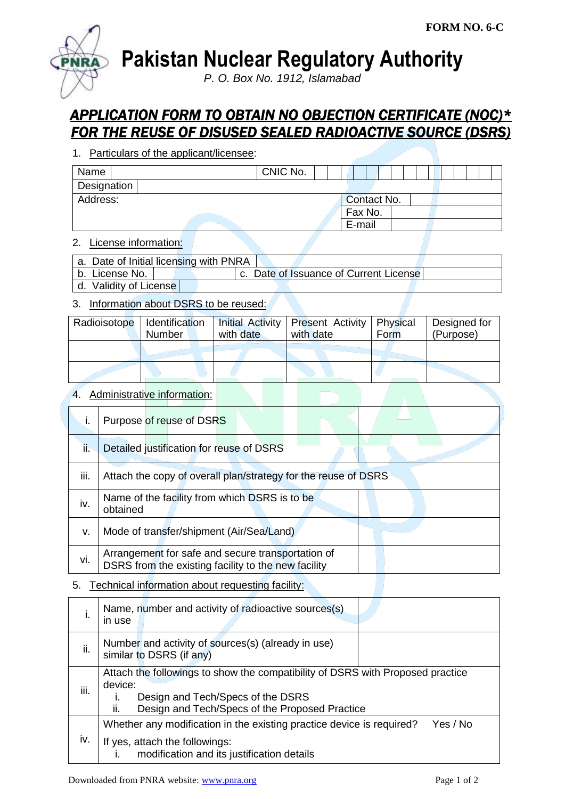

**Pakistan Nuclear Regulatory Authority**

*P. O. Box No. 1912, Islamabad*

# *APPLICATION FORM TO OBTAIN NO OBJECTION CERTIFICATE (NOC)\* FOR THE REUSE OF DISUSED SEALED RADIOACTIVE SOURCE (DSRS)*

1. Particulars of the applicant/licensee:

| CNIC No. |  |  |        |         |             |  |  |  |  |
|----------|--|--|--------|---------|-------------|--|--|--|--|
|          |  |  |        |         |             |  |  |  |  |
|          |  |  |        |         |             |  |  |  |  |
|          |  |  |        |         |             |  |  |  |  |
|          |  |  |        |         |             |  |  |  |  |
|          |  |  | E-mail | Fax No. | Contact No. |  |  |  |  |

### 2. License information:

| a. Date of Initial licensing with PNRA |  |                                        |  |
|----------------------------------------|--|----------------------------------------|--|
| b. License No.                         |  | c. Date of Issuance of Current License |  |

d. Validity of License

## 3. Information about DSRS to be reused:

| Radioisotope | Identification<br>Number | with date | Initial Activity   Present Activity   Physical<br>with date | Form | Designed for<br>(Purpose) |
|--------------|--------------------------|-----------|-------------------------------------------------------------|------|---------------------------|
|              |                          |           |                                                             |      |                           |
|              |                          |           |                                                             |      |                           |

## 4. Administrative information:

|      | Purpose of reuse of DSRS                                                                                 |
|------|----------------------------------------------------------------------------------------------------------|
| ii.  | Detailed justification for reuse of DSRS                                                                 |
| iii. | Attach the copy of overall plan/strategy for the reuse of DSRS                                           |
| iv.  | Name of the facility from which DSRS is to be<br>obtained                                                |
| v.   | Mode of transfer/shipment (Air/Sea/Land)                                                                 |
| vi.  | Arrangement for safe and secure transportation of<br>DSRS from the existing facility to the new facility |

### 5. Technical information about requesting facility:

| ı.   | Name, number and activity of radioactive sources(s)<br>in use                                                                                                                           |  |  |  |  |  |
|------|-----------------------------------------------------------------------------------------------------------------------------------------------------------------------------------------|--|--|--|--|--|
| ii.  | Number and activity of sources(s) (already in use)<br>similar to DSRS (if any)                                                                                                          |  |  |  |  |  |
| iii. | Attach the followings to show the compatibility of DSRS with Proposed practice<br>device:<br>Design and Tech/Specs of the DSRS<br>Design and Tech/Specs of the Proposed Practice<br>II. |  |  |  |  |  |
| iv.  | Whether any modification in the existing practice device is required?<br>Yes / No<br>If yes, attach the followings:<br>modification and its justification details                       |  |  |  |  |  |